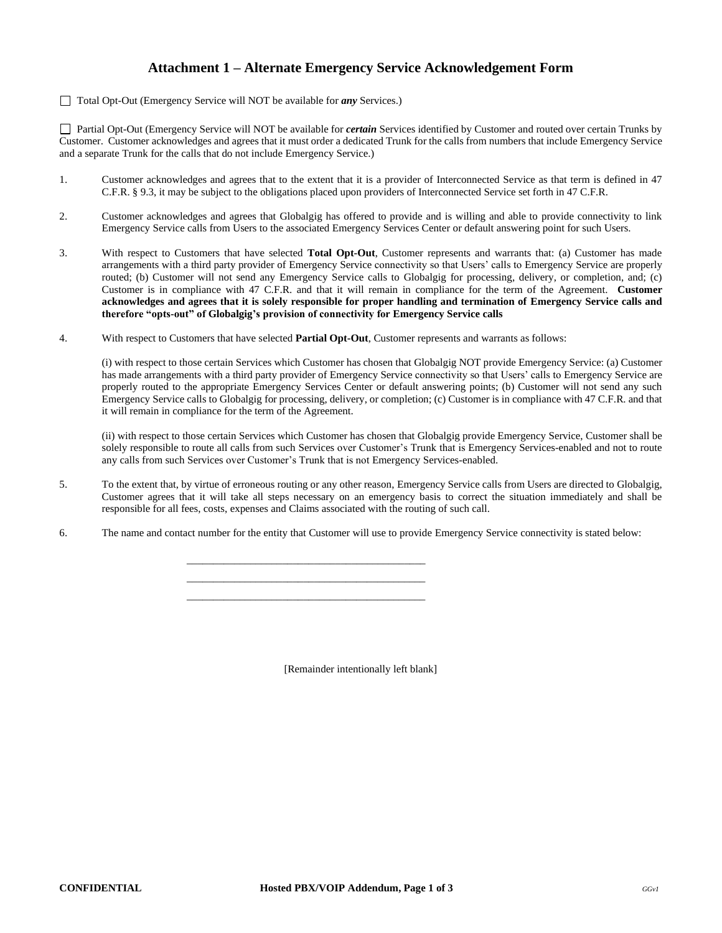## **Attachment 1 – Alternate Emergency Service Acknowledgement Form**

Total Opt-Out (Emergency Service will NOT be available for *any* Services.)

 Partial Opt-Out (Emergency Service will NOT be available for *certain* Services identified by Customer and routed over certain Trunks by Customer. Customer acknowledges and agrees that it must order a dedicated Trunk for the calls from numbers that include Emergency Service and a separate Trunk for the calls that do not include Emergency Service.)

- 1. Customer acknowledges and agrees that to the extent that it is a provider of Interconnected Service as that term is defined in 47 C.F.R. § 9.3, it may be subject to the obligations placed upon providers of Interconnected Service set forth in 47 C.F.R.
- 2. Customer acknowledges and agrees that Globalgig has offered to provide and is willing and able to provide connectivity to link Emergency Service calls from Users to the associated Emergency Services Center or default answering point for such Users.
- 3. With respect to Customers that have selected **Total Opt-Out**, Customer represents and warrants that: (a) Customer has made arrangements with a third party provider of Emergency Service connectivity so that Users' calls to Emergency Service are properly routed; (b) Customer will not send any Emergency Service calls to Globalgig for processing, delivery, or completion, and; (c) Customer is in compliance with 47 C.F.R. and that it will remain in compliance for the term of the Agreement. **Customer acknowledges and agrees that it is solely responsible for proper handling and termination of Emergency Service calls and therefore "opts-out" of Globalgig's provision of connectivity for Emergency Service calls**
- 4. With respect to Customers that have selected **Partial Opt-Out**, Customer represents and warrants as follows:

(i) with respect to those certain Services which Customer has chosen that Globalgig NOT provide Emergency Service: (a) Customer has made arrangements with a third party provider of Emergency Service connectivity so that Users' calls to Emergency Service are properly routed to the appropriate Emergency Services Center or default answering points; (b) Customer will not send any such Emergency Service calls to Globalgig for processing, delivery, or completion; (c) Customer is in compliance with 47 C.F.R. and that it will remain in compliance for the term of the Agreement.

(ii) with respect to those certain Services which Customer has chosen that Globalgig provide Emergency Service, Customer shall be solely responsible to route all calls from such Services over Customer's Trunk that is Emergency Services-enabled and not to route any calls from such Services over Customer's Trunk that is not Emergency Services-enabled.

- 5. To the extent that, by virtue of erroneous routing or any other reason, Emergency Service calls from Users are directed to Globalgig, Customer agrees that it will take all steps necessary on an emergency basis to correct the situation immediately and shall be responsible for all fees, costs, expenses and Claims associated with the routing of such call.
- 6. The name and contact number for the entity that Customer will use to provide Emergency Service connectivity is stated below:

\_\_\_\_\_\_\_\_\_\_\_\_\_\_\_\_\_\_\_\_\_\_\_\_\_\_\_\_\_\_\_\_\_\_\_\_\_\_\_\_\_\_\_\_\_ \_\_\_\_\_\_\_\_\_\_\_\_\_\_\_\_\_\_\_\_\_\_\_\_\_\_\_\_\_\_\_\_\_\_\_\_\_\_\_\_\_\_\_\_\_ \_\_\_\_\_\_\_\_\_\_\_\_\_\_\_\_\_\_\_\_\_\_\_\_\_\_\_\_\_\_\_\_\_\_\_\_\_\_\_\_\_\_\_\_\_

[Remainder intentionally left blank]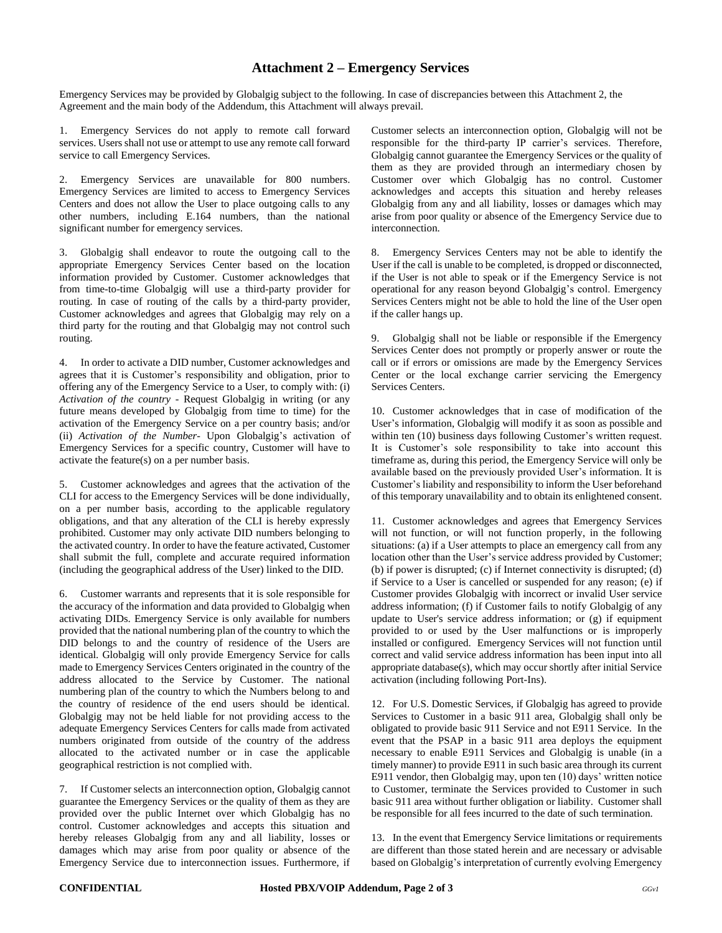## **Attachment 2 – Emergency Services**

Emergency Services may be provided by Globalgig subject to the following. In case of discrepancies between this Attachment 2, the Agreement and the main body of the Addendum, this Attachment will always prevail.

1. Emergency Services do not apply to remote call forward services. Users shall not use or attempt to use any remote call forward service to call Emergency Services.

2. Emergency Services are unavailable for 800 numbers. Emergency Services are limited to access to Emergency Services Centers and does not allow the User to place outgoing calls to any other numbers, including E.164 numbers, than the national significant number for emergency services.

3. Globalgig shall endeavor to route the outgoing call to the appropriate Emergency Services Center based on the location information provided by Customer. Customer acknowledges that from time-to-time Globalgig will use a third-party provider for routing. In case of routing of the calls by a third-party provider, Customer acknowledges and agrees that Globalgig may rely on a third party for the routing and that Globalgig may not control such routing.

4. In order to activate a DID number, Customer acknowledges and agrees that it is Customer's responsibility and obligation, prior to offering any of the Emergency Service to a User, to comply with: (i) *Activation of the country* - Request Globalgig in writing (or any future means developed by Globalgig from time to time) for the activation of the Emergency Service on a per country basis; and/or (ii) *Activation of the Number-* Upon Globalgig's activation of Emergency Services for a specific country, Customer will have to activate the feature(s) on a per number basis.

5. Customer acknowledges and agrees that the activation of the CLI for access to the Emergency Services will be done individually, on a per number basis, according to the applicable regulatory obligations, and that any alteration of the CLI is hereby expressly prohibited. Customer may only activate DID numbers belonging to the activated country. In order to have the feature activated, Customer shall submit the full, complete and accurate required information (including the geographical address of the User) linked to the DID.

6. Customer warrants and represents that it is sole responsible for the accuracy of the information and data provided to Globalgig when activating DIDs. Emergency Service is only available for numbers provided that the national numbering plan of the country to which the DID belongs to and the country of residence of the Users are identical. Globalgig will only provide Emergency Service for calls made to Emergency Services Centers originated in the country of the address allocated to the Service by Customer. The national numbering plan of the country to which the Numbers belong to and the country of residence of the end users should be identical. Globalgig may not be held liable for not providing access to the adequate Emergency Services Centers for calls made from activated numbers originated from outside of the country of the address allocated to the activated number or in case the applicable geographical restriction is not complied with.

7. If Customer selects an interconnection option, Globalgig cannot guarantee the Emergency Services or the quality of them as they are provided over the public Internet over which Globalgig has no control. Customer acknowledges and accepts this situation and hereby releases Globalgig from any and all liability, losses or damages which may arise from poor quality or absence of the Emergency Service due to interconnection issues. Furthermore, if Customer selects an interconnection option, Globalgig will not be responsible for the third-party IP carrier's services. Therefore, Globalgig cannot guarantee the Emergency Services or the quality of them as they are provided through an intermediary chosen by Customer over which Globalgig has no control. Customer acknowledges and accepts this situation and hereby releases Globalgig from any and all liability, losses or damages which may arise from poor quality or absence of the Emergency Service due to interconnection.

8. Emergency Services Centers may not be able to identify the User if the call is unable to be completed, is dropped or disconnected, if the User is not able to speak or if the Emergency Service is not operational for any reason beyond Globalgig's control. Emergency Services Centers might not be able to hold the line of the User open if the caller hangs up.

9. Globalgig shall not be liable or responsible if the Emergency Services Center does not promptly or properly answer or route the call or if errors or omissions are made by the Emergency Services Center or the local exchange carrier servicing the Emergency Services Centers.

10. Customer acknowledges that in case of modification of the User's information, Globalgig will modify it as soon as possible and within ten (10) business days following Customer's written request. It is Customer's sole responsibility to take into account this timeframe as, during this period, the Emergency Service will only be available based on the previously provided User's information. It is Customer's liability and responsibility to inform the User beforehand of this temporary unavailability and to obtain its enlightened consent.

11. Customer acknowledges and agrees that Emergency Services will not function, or will not function properly, in the following situations: (a) if a User attempts to place an emergency call from any location other than the User's service address provided by Customer; (b) if power is disrupted; (c) if Internet connectivity is disrupted; (d) if Service to a User is cancelled or suspended for any reason; (e) if Customer provides Globalgig with incorrect or invalid User service address information; (f) if Customer fails to notify Globalgig of any update to User's service address information; or (g) if equipment provided to or used by the User malfunctions or is improperly installed or configured. Emergency Services will not function until correct and valid service address information has been input into all appropriate database(s), which may occur shortly after initial Service activation (including following Port-Ins).

12. For U.S. Domestic Services, if Globalgig has agreed to provide Services to Customer in a basic 911 area, Globalgig shall only be obligated to provide basic 911 Service and not E911 Service. In the event that the PSAP in a basic 911 area deploys the equipment necessary to enable E911 Services and Globalgig is unable (in a timely manner) to provide E911 in such basic area through its current E911 vendor, then Globalgig may, upon ten (10) days' written notice to Customer, terminate the Services provided to Customer in such basic 911 area without further obligation or liability. Customer shall be responsible for all fees incurred to the date of such termination.

13. In the event that Emergency Service limitations or requirements are different than those stated herein and are necessary or advisable based on Globalgig's interpretation of currently evolving Emergency